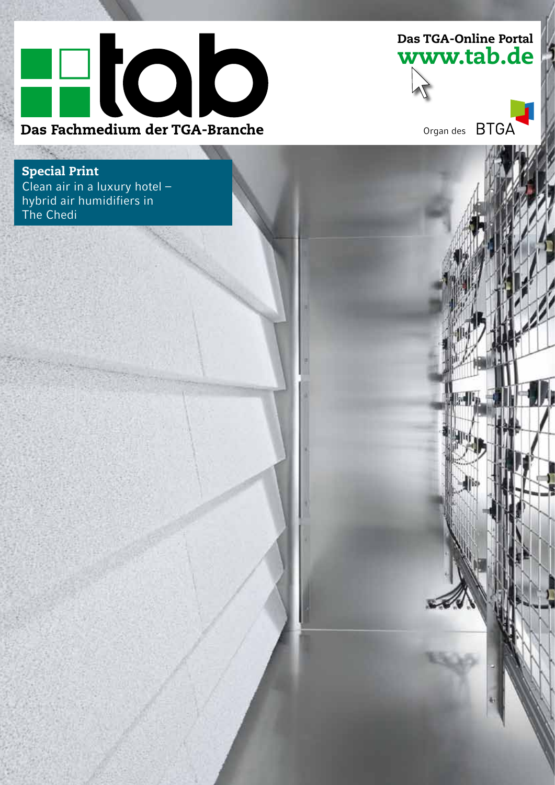

www.tab.de Das TGA-Online Portal

Organ des

Special Print Clean air in a luxury hotel  $$ hybrid air humidifiers in adwaren amamene arte.<br>The Chedi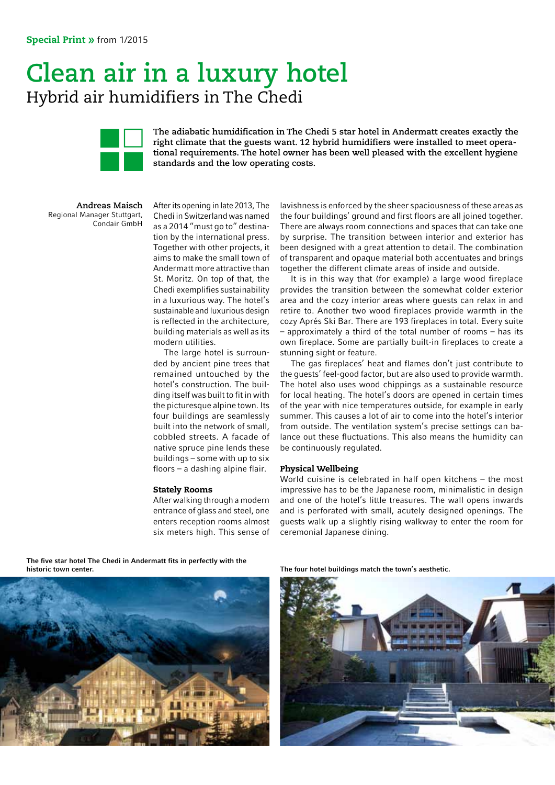## **Clean air in a luxury hotel** Hybrid air humidifiers in The Chedi



**The adiabatic humidification in The Chedi 5 star hotel in Andermatt creates exactly the right climate that the guests want. 12 hybrid humidifiers were installed to meet operational requirements. The hotel owner has been well pleased with the excellent hygiene standards and the low operating costs.**

**Andreas Maisch** Regional Manager Stuttgart, Condair GmbH

After its opening in late 2013, The Chedi in Switzerland was named as a 2014 "must go to" destination by the international press. Together with other projects, it aims to make the small town of Andermatt more attractive than St. Moritz. On top of that, the Chedi exemplifies sustainability in a luxurious way. The hotel's sustainable and luxurious design is reflected in the architecture, building materials as well as its modern utilities.

The large hotel is surrounded by ancient pine trees that remained untouched by the hotel's construction. The building itself was built to fit in with the picturesque alpine town. Its four buildings are seamlessly built into the network of small, cobbled streets. A facade of native spruce pine lends these buildings – some with up to six floors – a dashing alpine flair.

#### Stately Rooms

After walking through a modern entrance of glass and steel, one enters reception rooms almost six meters high. This sense of lavishness is enforced by the sheer spaciousness of these areas as the four buildings' ground and first floors are all joined together. There are always room connections and spaces that can take one by surprise. The transition between interior and exterior has been designed with a great attention to detail. The combination of transparent and opaque material both accentuates and brings together the different climate areas of inside and outside.

It is in this way that (for example) a large wood fireplace provides the transition between the somewhat colder exterior area and the cozy interior areas where guests can relax in and retire to. Another two wood fireplaces provide warmth in the cozy Aprés Ski Bar. There are 193 fireplaces in total. Every suite – approximately a third of the total number of rooms – has its own fireplace. Some are partially built-in fireplaces to create a stunning sight or feature.

The gas fireplaces' heat and flames don't just contribute to the guests' feel-good factor, but are also used to provide warmth. The hotel also uses wood chippings as a sustainable resource for local heating. The hotel's doors are opened in certain times of the year with nice temperatures outside, for example in early summer. This causes a lot of air to come into the hotel's interior from outside. The ventilation system's precise settings can balance out these fluctuations. This also means the humidity can be continuously regulated.

#### Physical Wellbeing

World cuisine is celebrated in half open kitchens – the most impressive has to be the Japanese room, minimalistic in design and one of the hotel's little treasures. The wall opens inwards and is perforated with small, acutely designed openings. The guests walk up a slightly rising walkway to enter the room for ceremonial Japanese dining.

The five star hotel The Chedi in Andermatt fits in perfectly with the

historic town center.

The four hotel buildings match the town's aesthetic.

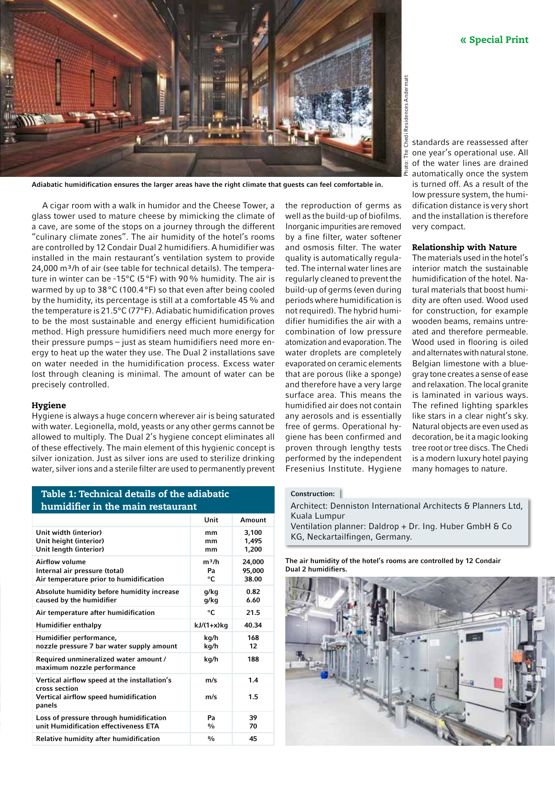

Adiabatic humidification ensures the larger areas have the right climate that guests can feel comfortable in.

A cigar room with a walk in humidor and the Cheese Tower, a glass tower used to mature cheese by mimicking the climate of a cave, are some of the stops on a journey through the different "culinary climate zones". The air humidity of the hotel's rooms are controlled by 12 Condair Dual 2 humidifiers. A humidifier was installed in the main restaurant's ventilation system to provide 24,000 m<sup>3</sup>/h of air (see table for technical details). The temperature in winter can be -15°C (5°F) with 90% humidity. The air is warmed by up to 38°C (100.4°F) so that even after being cooled by the humidity, its percentage is still at a comfortable 45% and the temperature is 21.5°C (77°F). Adiabatic humidification proves to be the most sustainable and energy efficient humidification method. High pressure humidifiers need much more energy for their pressure pumps – just as steam humidifiers need more energy to heat up the water they use. The Dual 2 installations save on water needed in the humidification process. Excess water lost through cleaning is minimal. The amount of water can be precisely controlled.

#### Hygiene

Hygiene is always a huge concern wherever air is being saturated with water. Legionella, mold, yeasts or any other germs cannot be allowed to multiply. The Dual 2's hygiene concept eliminates all of these effectively. The main element of this hygienic concept is silver ionization. Just as silver ions are used to sterilize drinking water, silver ions and a sterile filter are used to permanently prevent

Unit Amount Unit width (interior) Unit height (interior) Unit length (interior) mm mm mm 3,100 1,495 1,200 Airflow volume Internal air pressure (total) Air temperature prior to humidification  $m<sup>3</sup>/h$ Pa °C 24,000 95,000 38.00 Absolute humidity before humidity increase caused by the humidifier g/kg g/kg 0.82 6.60 Air temperature after humidification **C** <sup>o</sup>C 21.5 Humidifier enthalpy kJ/(1+x)kg 40.34 Humidifier performance, nozzle pressure 7 bar water supply amount kg/h kg/h 168 12 Required unmineralized water amount / maximum nozzle performance kg/h 188 Vertical airflow speed at the installation's cross section Vertical airflow speed humidification panels m/s m/s 1.4 1.5 Loss of pressure through humidification unit Humidification effectiveness ETA Pa  $\frac{0}{0}$ 39 70 Relative humidity after humidification  $\frac{1}{2}$  % 45

the reproduction of germs as well as the build-up of biofilms. Inorganic impurities are removed by a fine filter, water softener and osmosis filter. The water quality is automatically regulated. The internal water lines are regularly cleaned to prevent the build-up of germs (even during periods where humidification is not required). The hybrid humidifier humidifies the air with a combination of low pressure atomization and evaporation. The water droplets are completely evaporated on ceramic elements that are porous (like a sponge) and therefore have a very large surface area. This means the humidified air does not contain any aerosols and is essentially free of germs. Operational hygiene has been confirmed and proven through lengthy tests performed by the independent Fresenius Institute. Hygiene

#### « Special Print

standards are reassessed after one year's operational use. All of the water lines are drained automatically once the system is turned off. As a result of the low pressure system, the humidification distance is very short and the installation is therefore very compact.

Photo: The Chedi Residences Andermatt

Photo:

The Chedi Residences Andermatt

#### Relationship with Nature

The materials used in the hotel's interior match the sustainable humidification of the hotel. Natural materials that boost humidity are often used. Wood used for construction, for example wooden beams, remains untreated and therefore permeable. Wood used in flooring is oiled and alternates with natural stone. Belgian limestone with a bluegray tone creates a sense of ease and relaxation. The local granite is laminated in various ways. The refined lighting sparkles like stars in a clear night's sky. Natural objects are even used as decoration, be it a magic looking tree root or tree discs. The Chedi is a modern luxury hotel paying many homages to nature.

#### Construction:

Architect: Denniston International Architects & Planners Ltd, Kuala Lumpur Ventilation planner: Daldrop + Dr. Ing. Huber GmbH & Co

KG, Neckartailfingen, Germany.

The air humidity of the hotel's rooms are controlled by 12 Condair Dual 2 humidifiers.



Table 1: Technical details of the adiabatic humidifier in the main restaurant